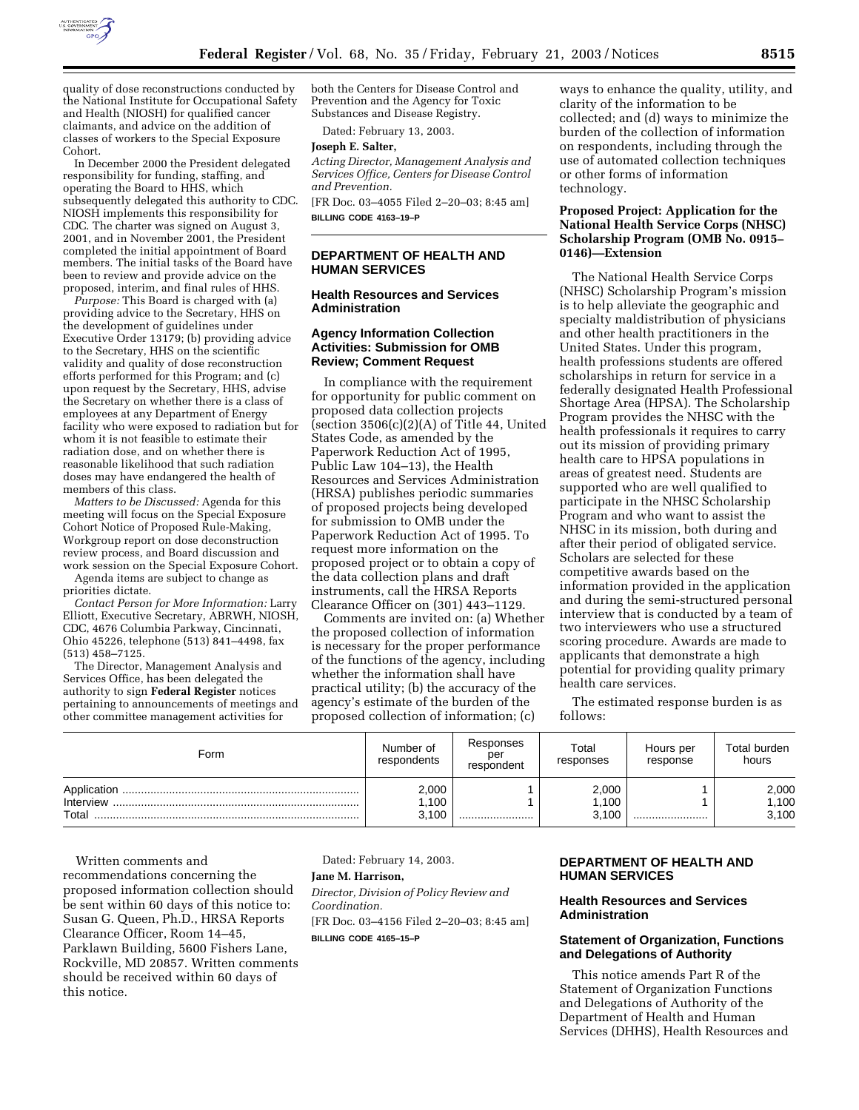

quality of dose reconstructions conducted by the National Institute for Occupational Safety and Health (NIOSH) for qualified cancer claimants, and advice on the addition of classes of workers to the Special Exposure Cohort.

In December 2000 the President delegated responsibility for funding, staffing, and operating the Board to HHS, which subsequently delegated this authority to CDC. NIOSH implements this responsibility for CDC. The charter was signed on August 3, 2001, and in November 2001, the President completed the initial appointment of Board members. The initial tasks of the Board have been to review and provide advice on the proposed, interim, and final rules of HHS.

*Purpose:* This Board is charged with (a) providing advice to the Secretary, HHS on the development of guidelines under Executive Order 13179; (b) providing advice to the Secretary, HHS on the scientific validity and quality of dose reconstruction efforts performed for this Program; and (c) upon request by the Secretary, HHS, advise the Secretary on whether there is a class of employees at any Department of Energy facility who were exposed to radiation but for whom it is not feasible to estimate their radiation dose, and on whether there is reasonable likelihood that such radiation doses may have endangered the health of members of this class.

*Matters to be Discussed:* Agenda for this meeting will focus on the Special Exposure Cohort Notice of Proposed Rule-Making, Workgroup report on dose deconstruction review process, and Board discussion and work session on the Special Exposure Cohort.

Agenda items are subject to change as priorities dictate.

*Contact Person for More Information:* Larry Elliott, Executive Secretary, ABRWH, NIOSH, CDC, 4676 Columbia Parkway, Cincinnati, Ohio 45226, telephone (513) 841–4498, fax (513) 458–7125.

The Director, Management Analysis and Services Office, has been delegated the authority to sign **Federal Register** notices pertaining to announcements of meetings and other committee management activities for

both the Centers for Disease Control and Prevention and the Agency for Toxic Substances and Disease Registry.

Dated: February 13, 2003.

#### **Joseph E. Salter,**

*Acting Director, Management Analysis and Services Office, Centers for Disease Control and Prevention.*

[FR Doc. 03–4055 Filed 2–20–03; 8:45 am] **BILLING CODE 4163–19–P**

## **DEPARTMENT OF HEALTH AND HUMAN SERVICES**

### **Health Resources and Services Administration**

### **Agency Information Collection Activities: Submission for OMB Review; Comment Request**

In compliance with the requirement for opportunity for public comment on proposed data collection projects (section  $3506(c)(2)(A)$  of Title 44, United States Code, as amended by the Paperwork Reduction Act of 1995, Public Law 104–13), the Health Resources and Services Administration (HRSA) publishes periodic summaries of proposed projects being developed for submission to OMB under the Paperwork Reduction Act of 1995. To request more information on the proposed project or to obtain a copy of the data collection plans and draft instruments, call the HRSA Reports Clearance Officer on (301) 443–1129.

Comments are invited on: (a) Whether the proposed collection of information is necessary for the proper performance of the functions of the agency, including whether the information shall have practical utility; (b) the accuracy of the agency's estimate of the burden of the proposed collection of information; (c)

ways to enhance the quality, utility, and clarity of the information to be collected; and (d) ways to minimize the burden of the collection of information on respondents, including through the use of automated collection techniques or other forms of information technology.

## **Proposed Project: Application for the National Health Service Corps (NHSC) Scholarship Program (OMB No. 0915– 0146)—Extension**

The National Health Service Corps (NHSC) Scholarship Program's mission is to help alleviate the geographic and specialty maldistribution of physicians and other health practitioners in the United States. Under this program, health professions students are offered scholarships in return for service in a federally designated Health Professional Shortage Area (HPSA). The Scholarship Program provides the NHSC with the health professionals it requires to carry out its mission of providing primary health care to HPSA populations in areas of greatest need. Students are supported who are well qualified to participate in the NHSC Scholarship Program and who want to assist the NHSC in its mission, both during and after their period of obligated service. Scholars are selected for these competitive awards based on the information provided in the application and during the semi-structured personal interview that is conducted by a team of two interviewers who use a structured scoring procedure. Awards are made to applicants that demonstrate a high potential for providing quality primary health care services.

The estimated response burden is as follows:

| Form                              | Number of<br>respondents | Responses<br>per<br>respondent | Total<br>responses     | Hours per<br>response | Total burden<br>hours   |
|-----------------------------------|--------------------------|--------------------------------|------------------------|-----------------------|-------------------------|
| Application<br>Interview<br>Total | 2,000<br>.100<br>3,100   |                                | 2,000<br>.100<br>3.100 |                       | 2,000<br>1,100<br>3,100 |

Written comments and recommendations concerning the proposed information collection should be sent within 60 days of this notice to: Susan G. Queen, Ph.D., HRSA Reports Clearance Officer, Room 14–45, Parklawn Building, 5600 Fishers Lane, Rockville, MD 20857. Written comments should be received within 60 days of this notice.

Dated: February 14, 2003.

# **Jane M. Harrison,**

*Director, Division of Policy Review and Coordination.* [FR Doc. 03–4156 Filed 2–20–03; 8:45 am]

**BILLING CODE 4165–15–P**

## **DEPARTMENT OF HEALTH AND HUMAN SERVICES**

## **Health Resources and Services Administration**

## **Statement of Organization, Functions and Delegations of Authority**

This notice amends Part R of the Statement of Organization Functions and Delegations of Authority of the Department of Health and Human Services (DHHS), Health Resources and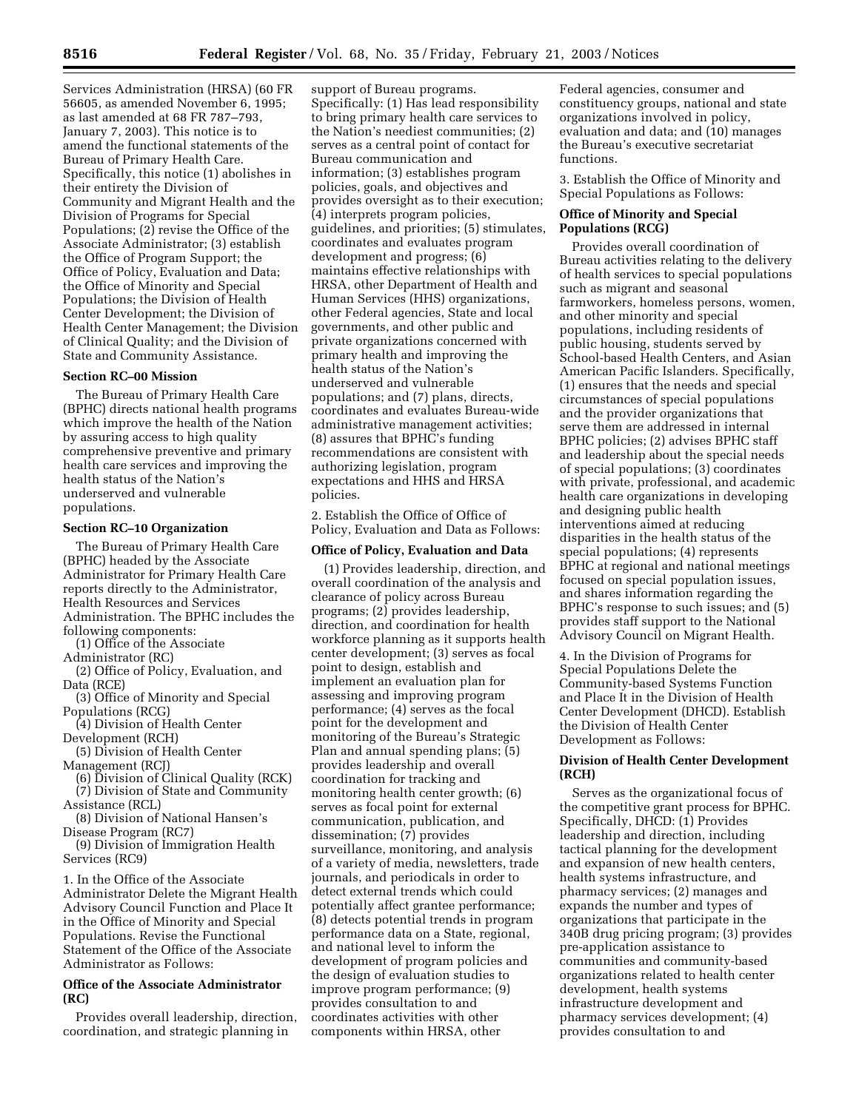Services Administration (HRSA) (60 FR 56605, as amended November 6, 1995; as last amended at 68 FR 787–793, January 7, 2003). This notice is to amend the functional statements of the Bureau of Primary Health Care. Specifically, this notice (1) abolishes in their entirety the Division of Community and Migrant Health and the Division of Programs for Special Populations; (2) revise the Office of the Associate Administrator; (3) establish the Office of Program Support; the Office of Policy, Evaluation and Data; the Office of Minority and Special Populations; the Division of Health Center Development; the Division of Health Center Management; the Division of Clinical Quality; and the Division of State and Community Assistance.

## **Section RC–00 Mission**

The Bureau of Primary Health Care (BPHC) directs national health programs which improve the health of the Nation by assuring access to high quality comprehensive preventive and primary health care services and improving the health status of the Nation's underserved and vulnerable populations.

#### **Section RC–10 Organization**

The Bureau of Primary Health Care (BPHC) headed by the Associate Administrator for Primary Health Care reports directly to the Administrator, Health Resources and Services Administration. The BPHC includes the following components:

(1) Office of the Associate

Administrator (RC)

(2) Office of Policy, Evaluation, and Data (RCE)

(3) Office of Minority and Special Populations (RCG)

(4) Division of Health Center

Development (RCH)

(5) Division of Health Center Management (RCJ)

(6) Division of Clinical Quality (RCK) (7) Division of State and Community

Assistance (RCL) (8) Division of National Hansen's

Disease Program (RC7)

(9) Division of Immigration Health Services (RC9)

1. In the Office of the Associate Administrator Delete the Migrant Health Advisory Council Function and Place It in the Office of Minority and Special Populations. Revise the Functional Statement of the Office of the Associate Administrator as Follows:

## **Office of the Associate Administrator (RC)**

Provides overall leadership, direction, coordination, and strategic planning in

support of Bureau programs. Specifically: (1) Has lead responsibility to bring primary health care services to the Nation's neediest communities; (2) serves as a central point of contact for Bureau communication and information; (3) establishes program policies, goals, and objectives and provides oversight as to their execution; (4) interprets program policies, guidelines, and priorities; (5) stimulates, coordinates and evaluates program development and progress; (6) maintains effective relationships with HRSA, other Department of Health and Human Services (HHS) organizations, other Federal agencies, State and local governments, and other public and private organizations concerned with primary health and improving the health status of the Nation's underserved and vulnerable populations; and (7) plans, directs, coordinates and evaluates Bureau-wide administrative management activities; (8) assures that BPHC's funding recommendations are consistent with authorizing legislation, program expectations and HHS and HRSA policies.

2. Establish the Office of Office of Policy, Evaluation and Data as Follows:

### **Office of Policy, Evaluation and Data**

(1) Provides leadership, direction, and overall coordination of the analysis and clearance of policy across Bureau programs; (2) provides leadership, direction, and coordination for health workforce planning as it supports health center development; (3) serves as focal point to design, establish and implement an evaluation plan for assessing and improving program performance; (4) serves as the focal point for the development and monitoring of the Bureau's Strategic Plan and annual spending plans; (5) provides leadership and overall coordination for tracking and monitoring health center growth; (6) serves as focal point for external communication, publication, and dissemination; (7) provides surveillance, monitoring, and analysis of a variety of media, newsletters, trade journals, and periodicals in order to detect external trends which could potentially affect grantee performance; (8) detects potential trends in program performance data on a State, regional, and national level to inform the development of program policies and the design of evaluation studies to improve program performance; (9) provides consultation to and coordinates activities with other components within HRSA, other

Federal agencies, consumer and constituency groups, national and state organizations involved in policy, evaluation and data; and (10) manages the Bureau's executive secretariat functions.

3. Establish the Office of Minority and Special Populations as Follows:

## **Office of Minority and Special Populations (RCG)**

Provides overall coordination of Bureau activities relating to the delivery of health services to special populations such as migrant and seasonal farmworkers, homeless persons, women, and other minority and special populations, including residents of public housing, students served by School-based Health Centers, and Asian American Pacific Islanders. Specifically, (1) ensures that the needs and special circumstances of special populations and the provider organizations that serve them are addressed in internal BPHC policies; (2) advises BPHC staff and leadership about the special needs of special populations; (3) coordinates with private, professional, and academic health care organizations in developing and designing public health interventions aimed at reducing disparities in the health status of the special populations; (4) represents BPHC at regional and national meetings focused on special population issues, and shares information regarding the BPHC's response to such issues; and (5) provides staff support to the National Advisory Council on Migrant Health.

4. In the Division of Programs for Special Populations Delete the Community-based Systems Function and Place It in the Division of Health Center Development (DHCD). Establish the Division of Health Center Development as Follows:

### **Division of Health Center Development (RCH)**

Serves as the organizational focus of the competitive grant process for BPHC. Specifically, DHCD: (1) Provides leadership and direction, including tactical planning for the development and expansion of new health centers, health systems infrastructure, and pharmacy services; (2) manages and expands the number and types of organizations that participate in the 340B drug pricing program; (3) provides pre-application assistance to communities and community-based organizations related to health center development, health systems infrastructure development and pharmacy services development; (4) provides consultation to and